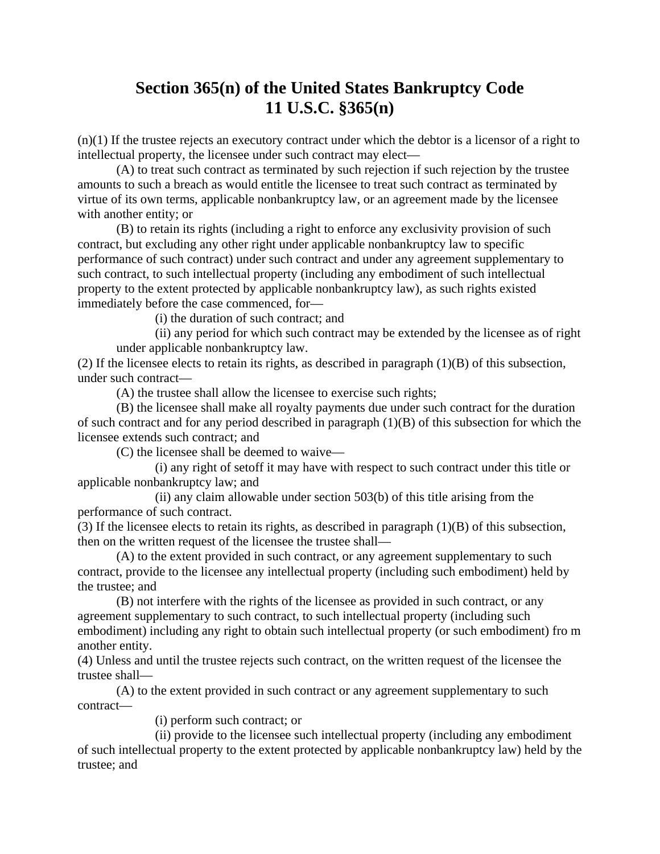## **Section 365(n) of the United States Bankruptcy Code 11 U.S.C. §365(n)**

(n)(1) If the trustee rejects an executory contract under which the debtor is a licensor of a right to intellectual property, the licensee under such contract may elect—

 (A) to treat such contract as terminated by such rejection if such rejection by the trustee amounts to such a breach as would entitle the licensee to treat such contract as terminated by virtue of its own terms, applicable nonbankruptcy law, or an agreement made by the licensee with another entity; or

 (B) to retain its rights (including a right to enforce any exclusivity provision of such contract, but excluding any other right under applicable nonbankruptcy law to specific performance of such contract) under such contract and under any agreement supplementary to such contract, to such intellectual property (including any embodiment of such intellectual property to the extent protected by applicable nonbankruptcy law), as such rights existed immediately before the case commenced, for—

(i) the duration of such contract; and

 (ii) any period for which such contract may be extended by the licensee as of right under applicable nonbankruptcy law.

(2) If the licensee elects to retain its rights, as described in paragraph (1)(B) of this subsection, under such contract—

(A) the trustee shall allow the licensee to exercise such rights;

 (B) the licensee shall make all royalty payments due under such contract for the duration of such contract and for any period described in paragraph (1)(B) of this subsection for which the licensee extends such contract; and

(C) the licensee shall be deemed to waive—

 (i) any right of setoff it may have with respect to such contract under this title or applicable nonbankruptcy law; and

 (ii) any claim allowable under section 503(b) of this title arising from the performance of such contract.

(3) If the licensee elects to retain its rights, as described in paragraph (1)(B) of this subsection, then on the written request of the licensee the trustee shall—

 (A) to the extent provided in such contract, or any agreement supplementary to such contract, provide to the licensee any intellectual property (including such embodiment) held by the trustee; and

 (B) not interfere with the rights of the licensee as provided in such contract, or any agreement supplementary to such contract, to such intellectual property (including such embodiment) including any right to obtain such intellectual property (or such embodiment) fro m another entity.

(4) Unless and until the trustee rejects such contract, on the written request of the licensee the trustee shall—

 (A) to the extent provided in such contract or any agreement supplementary to such contract—

(i) perform such contract; or

 (ii) provide to the licensee such intellectual property (including any embodiment of such intellectual property to the extent protected by applicable nonbankruptcy law) held by the trustee; and